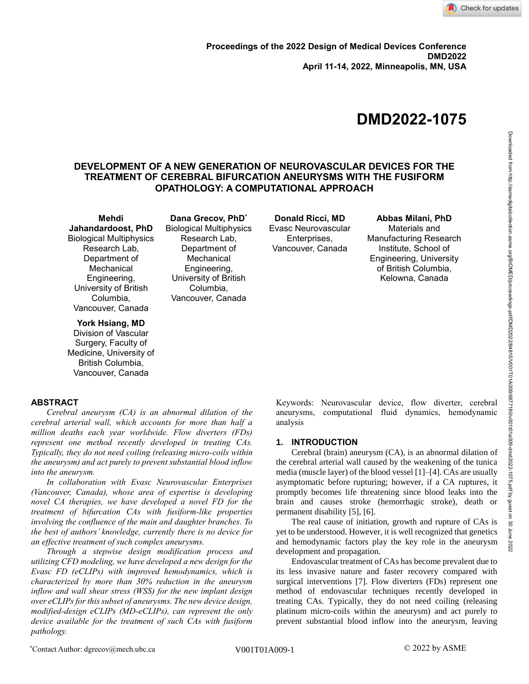# **DMD2022-1075**

# **DEVELOPMENT OF A NEW GENERATION OF NEUROVASCULAR DEVICES FOR THE TREATMENT OF CEREBRAL BIFURCATION ANEURYSMS WITH THE FUSIFORM OPATHOLOGY: A COMPUTATIONAL APPROACH**

**Mehdi Jahandardoost, PhD** Biological Multiphysics Research Lab, Department of Mechanical Engineering, University of British Columbia, Vancouver, Canada

**York Hsiang, MD**

Division of Vascular Surgery, Faculty of Medicine, University of British Columbia, Vancouver, Canada

**ABSTRACT**

*Cerebral aneurysm (CA) is an abnormal dilation of the cerebral arterial wall, which accounts for more than half a million deaths each year worldwide. Flow diverters (FDs) represent one method recently developed in treating CAs. Typically, they do not need coiling (releasing micro-coils within the aneurysm) and act purely to prevent substantial blood inflow into the aneurysm.*

*In collaboration with Evasc Neurovascular Enterprises (Vancouver, Canada), whose area of expertise is developing novel CA therapies, we have developed a novel FD for the treatment of bifurcation CAs with fusiform-like properties involving the confluence of the main and daughter branches. To the best of authors' knowledge, currently there is no device for an effective treatment of such complex aneurysms.* 

*Through a stepwise design modification process and utilizing CFD modeling, we have developed a new design for the Evasc FD (eCLIPs) with improved hemodynamics, which is characterized by more than 30% reduction in the aneurysm inflow and wall shear stress (WSS) for the new implant design over eCLIPs for this subset of aneurysms. The new device design, modified-design eCLIPs (MD-eCLIPs), can represent the only device available for the treatment of such CAs with fusiform pathology.*

**Dana Grecov, PhD\*** Biological Multiphysics Research Lab, Department of Mechanical Engineering, University of British

Columbia, Vancouver, Canada

**Donald Ricci, MD** Evasc Neurovascular Enterprises, Vancouver, Canada

**Abbas Milani, PhD** Materials and Manufacturing Research Institute, School of Engineering, University of British Columbia, Kelowna, Canada

Keywords: Neurovascular device, flow diverter, cerebral aneurysms, computational fluid dynamics, hemodynamic analysis

# **1. INTRODUCTION**

Cerebral (brain) aneurysm (CA), is an abnormal dilation of the cerebral arterial wall caused by the weakening of the tunica media (muscle layer) of the blood vessel [1]–[4]. CAs are usually asymptomatic before rupturing; however, if a CA ruptures, it promptly becomes life threatening since blood leaks into the brain and causes stroke (hemorrhagic stroke), death or permanent disability [5], [6].

The real cause of initiation, growth and rupture of CAs is yet to be understood. However, it is well recognized that genetics and hemodynamic factors play the key role in the aneurysm development and propagation.

Endovascular treatment of CAs has become prevalent due to its less invasive nature and faster recovery compared with surgical interventions [7]. Flow diverters (FDs) represent one method of endovascular techniques recently developed in treating CAs. Typically, they do not need coiling (releasing platinum micro-coils within the aneurysm) and act purely to prevent substantial blood inflow into the aneurysm, leaving

\*Contact Author: dgrecov@mech.ubc.ca V001T01A009-1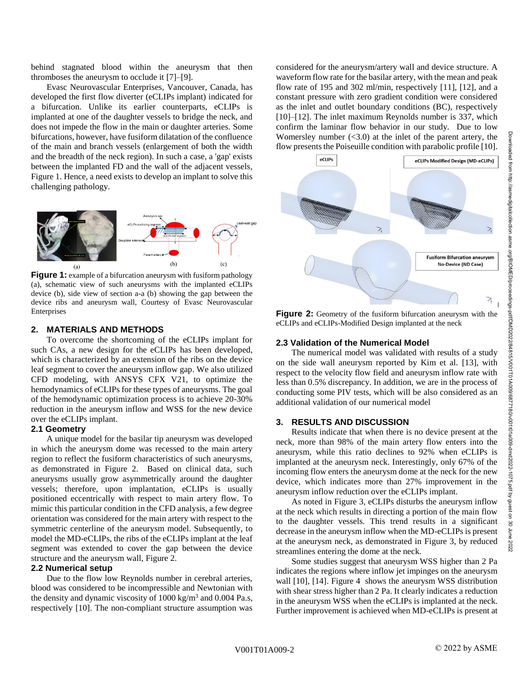behind stagnated blood within the aneurysm that then thromboses the aneurysm to occlude it [7]–[9].

Evasc Neurovascular Enterprises, Vancouver, Canada, has developed the first flow diverter (eCLIPs implant) indicated for a bifurcation. Unlike its earlier counterparts, eCLIPs is implanted at one of the daughter vessels to bridge the neck, and does not impede the flow in the main or daughter arteries. Some bifurcations, however, have fusiform dilatation of the confluence of the main and branch vessels (enlargement of both the width and the breadth of the neck region). In such a case, a 'gap' exists between the implanted FD and the wall of the adjacent vessels, [Figure 1.](#page-1-0) Hence, a need exists to develop an implant to solve this challenging pathology.



<span id="page-1-0"></span>**Figure 1:** example of a bifurcation aneurysm with fusiform pathology (a), schematic view of such aneurysms with the implanted eCLIPs device (b), side view of section a-a (b) showing the gap between the device ribs and aneurysm wall, Courtesy of Evasc Neurovascular Enterprises

## **2. MATERIALS AND METHODS**

To overcome the shortcoming of the eCLIPs implant for such CAs, a new design for the eCLIPs has been developed, which is characterized by an extension of the ribs on the device leaf segment to cover the aneurysm inflow gap. We also utilized CFD modeling, with ANSYS CFX V21, to optimize the hemodynamics of eCLIPs for these types of aneurysms. The goal of the hemodynamic optimization process is to achieve 20-30% reduction in the aneurysm inflow and WSS for the new device over the eCLIPs implant.

## **2.1 Geometry**

A unique model for the basilar tip aneurysm was developed in which the aneurysm dome was recessed to the main artery region to reflect the fusiform characteristics of such aneurysms, as demonstrated in [Figure 2.](#page-1-1) Based on clinical data, such aneurysms usually grow asymmetrically around the daughter vessels; therefore, upon implantation, eCLIPs is usually positioned eccentrically with respect to main artery flow. To mimic this particular condition in the CFD analysis, a few degree orientation was considered for the main artery with respect to the symmetric centerline of the aneurysm model. Subsequently, to model the MD-eCLIPs, the ribs of the eCLIPs implant at the leaf segment was extended to cover the gap between the device structure and the aneurysm wall[, Figure 2.](#page-1-1) 

## **2.2 Numerical setup**

Due to the flow low Reynolds number in cerebral arteries, blood was considered to be incompressible and Newtonian with the density and dynamic viscosity of  $1000 \text{ kg/m}^3$  and  $0.004 \text{ Pa.s.}$ respectively [10]. The non-compliant structure assumption was

considered for the aneurysm/artery wall and device structure. A waveform flow rate for the basilar artery, with the mean and peak flow rate of 195 and 302 ml/min, respectively [11], [12], and a constant pressure with zero gradient condition were considered as the inlet and outlet boundary conditions (BC), respectively [10]–[12]. The inlet maximum Reynolds number is 337, which confirm the laminar flow behavior in our study. Due to low Womersley number  $( $3.0$ )$  at the inlet of the parent artery, the flow presents the Poiseuille condition with parabolic profile [10].



<span id="page-1-1"></span>**Figure 2:** Geometry of the fusiform bifurcation aneurysm with the eCLIPs and eCLIPs-Modified Design implanted at the neck

# **2.3 Validation of the Numerical Model**

The numerical model was validated with results of a study on the side wall aneurysm reported by Kim et al. [13], with respect to the velocity flow field and aneurysm inflow rate with less than 0.5% discrepancy. In addition, we are in the process of conducting some PIV tests, which will be also considered as an additional validation of our numerical model

# **3. RESULTS AND DISCUSSION**

Results indicate that when there is no device present at the neck, more than 98% of the main artery flow enters into the aneurysm, while this ratio declines to 92% when eCLIPs is implanted at the aneurysm neck. Interestingly, only 67% of the incoming flow enters the aneurysm dome at the neck for the new device, which indicates more than 27% improvement in the aneurysm inflow reduction over the eCLIPs implant.

As noted in [Figure 3,](#page-2-0) eCLIPs disturbs the aneurysm inflow at the neck which results in directing a portion of the main flow to the daughter vessels. This trend results in a significant decrease in the aneurysm inflow when the MD-eCLIPs is present at the aneurysm neck, as demonstrated in [Figure 3,](#page-2-0) by reduced streamlines entering the dome at the neck.

Some studies suggest that aneurysm WSS higher than 2 Pa indicates the regions where inflow jet impinges on the aneurysm wall [10], [14]. [Figure 4](#page-2-1) shows the aneurysm WSS distribution with shear stress higher than 2 Pa. It clearly indicates a reduction in the aneurysm WSS when the eCLIPs is implanted at the neck. Further improvement is achieved when MD-eCLIPs is present at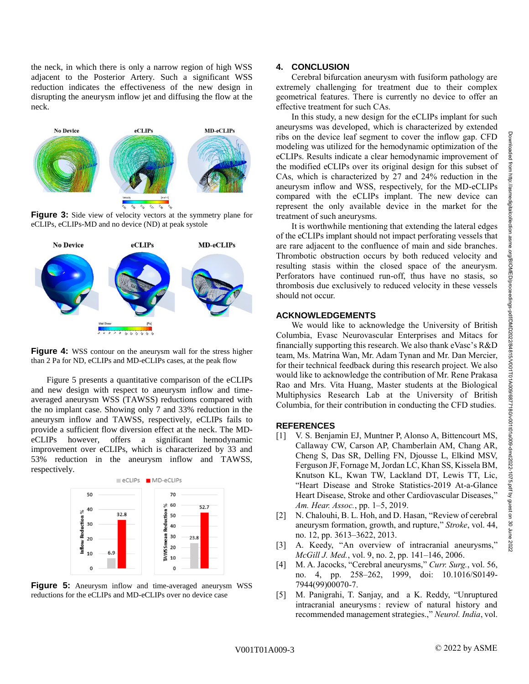the neck, in which there is only a narrow region of high WSS adjacent to the Posterior Artery. Such a significant WSS reduction indicates the effectiveness of the new design in disrupting the aneurysm inflow jet and diffusing the flow at the neck.



<span id="page-2-0"></span>**Figure 3:** Side view of velocity vectors at the symmetry plane for eCLIPs, eCLIPs-MD and no device (ND) at peak systole



<span id="page-2-1"></span>**Figure 4:** WSS contour on the aneurysm wall for the stress higher than 2 Pa for ND, eCLIPs and MD-eCLIPs cases, at the peak flow

[Figure 5](#page-2-2) presents a quantitative comparison of the eCLIPs and new design with respect to aneurysm inflow and timeaveraged aneurysm WSS (TAWSS) reductions compared with the no implant case. Showing only 7 and 33% reduction in the aneurysm inflow and TAWSS, respectively, eCLIPs fails to provide a sufficient flow diversion effect at the neck. The MDeCLIPs however, offers a significant hemodynamic improvement over eCLIPs, which is characterized by 33 and 53% reduction in the aneurysm inflow and TAWSS, respectively.



**Figure 5:** Aneurysm inflow and time-averaged aneurysm WSS reductions for the eCLIPs and MD-eCLIPs over no device case

#### **4. CONCLUSION**

Cerebral bifurcation aneurysm with fusiform pathology are extremely challenging for treatment due to their complex geometrical features. There is currently no device to offer an effective treatment for such CAs.

In this study, a new design for the eCLIPs implant for such aneurysms was developed, which is characterized by extended ribs on the device leaf segment to cover the inflow gap. CFD modeling was utilized for the hemodynamic optimization of the eCLIPs. Results indicate a clear hemodynamic improvement of the modified eCLIPs over its original design for this subset of CAs, which is characterized by 27 and 24% reduction in the aneurysm inflow and WSS, respectively, for the MD-eCLIPs compared with the eCLIPs implant. The new device can represent the only available device in the market for the treatment of such aneurysms.

It is worthwhile mentioning that extending the lateral edges of the eCLIPs implant should not impact perforating vessels that are rare adjacent to the confluence of main and side branches. Thrombotic obstruction occurs by both reduced velocity and resulting stasis within the closed space of the aneurysm. Perforators have continued run-off, thus have no stasis, so thrombosis due exclusively to reduced velocity in these vessels should not occur.

#### **ACKNOWLEDGEMENTS**

We would like to acknowledge the University of British Columbia, Evasc Neurovascular Enterprises and Mitacs for financially supporting this research. We also thank eVasc's R&D team, Ms. Matrina Wan, Mr. Adam Tynan and Mr. Dan Mercier, for their technical feedback during this research project. We also would like to acknowledge the contribution of Mr. Rene Prakasa Rao and Mrs. Vita Huang, Master students at the Biological Multiphysics Research Lab at the University of British Columbia, for their contribution in conducting the CFD studies.

#### **REFERENCES**

- [1] V. S. Benjamin EJ, Muntner P, Alonso A, Bittencourt MS, Callaway CW, Carson AP, Chamberlain AM, Chang AR, Cheng S, Das SR, Delling FN, Djousse L, Elkind MSV, Ferguson JF, Fornage M, Jordan LC, Khan SS, Kissela BM, Knutson KL, Kwan TW, Lackland DT, Lewis TT, Lic, "Heart Disease and Stroke Statistics-2019 At-a-Glance Heart Disease, Stroke and other Cardiovascular Diseases," *Am. Hear. Assoc.*, pp. 1–5, 2019.
- <span id="page-2-2"></span>[2] N. Chalouhi, B. L. Hoh, and D. Hasan, "Review of cerebral aneurysm formation, growth, and rupture," *Stroke*, vol. 44, no. 12, pp. 3613–3622, 2013.
- [3] A. Keedy, "An overview of intracranial aneurysms," *McGill J. Med.*, vol. 9, no. 2, pp. 141–146, 2006.
- [4] M. A. Jacocks, "Cerebral aneurysms," *Curr. Surg.*, vol. 56, no. 4, pp. 258–262, 1999, doi: 10.1016/S0149- 7944(99)00070-7.
- [5] M. Panigrahi, T. Sanjay, and a K. Reddy, "Unruptured intracranial aneurysms : review of natural history and recommended management strategies.," *Neurol. India*, vol.